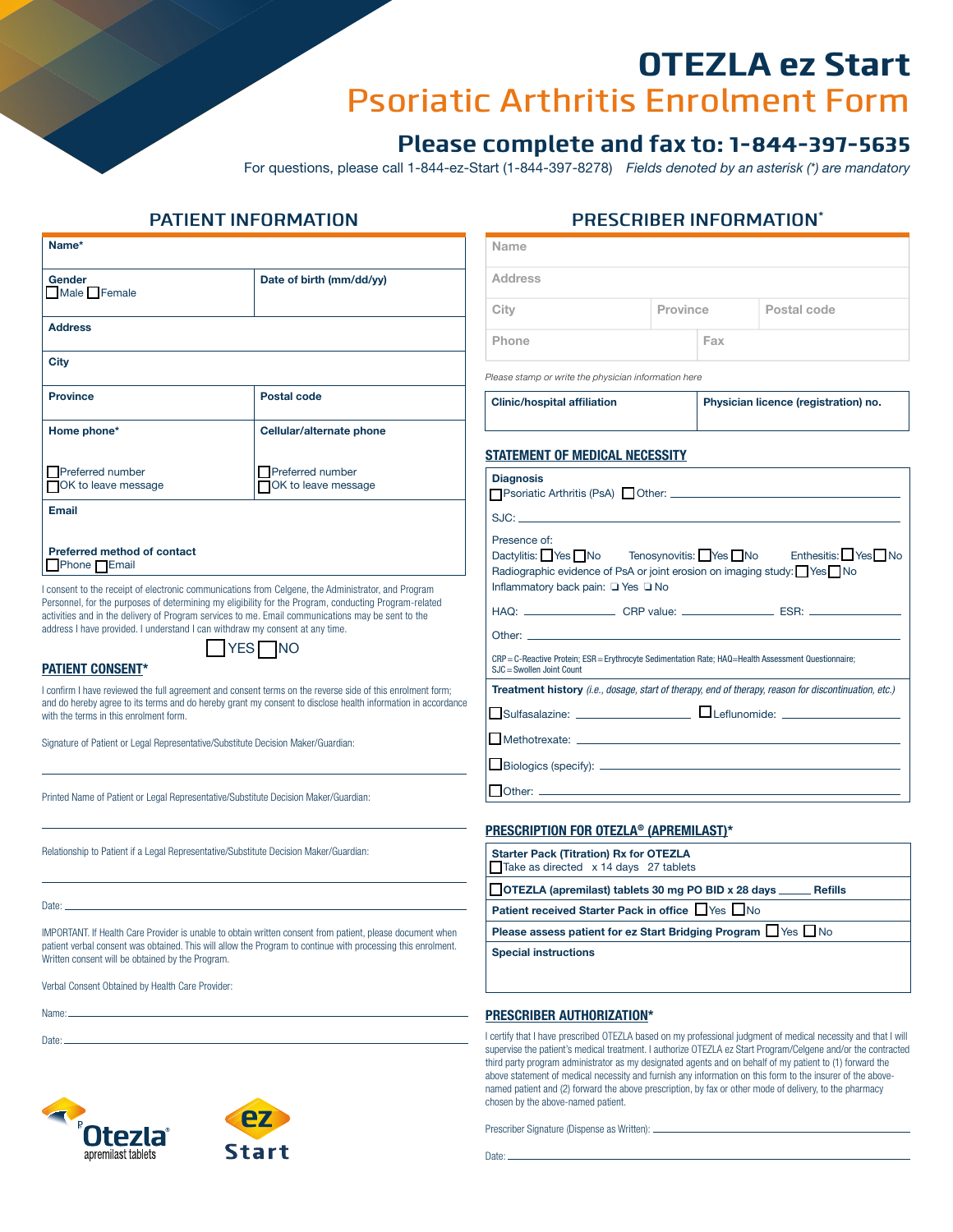# OTEZLA ez Start Psoriatic Arthritis Enrolment Form

## **Please complete and fax to: 1-844-397-5635**

For questions, please call 1-844-ez-Start (1-844-397-8278) *Fields denoted by an asterisk (\*) are mandatory* 

| Name*                                                                                                                                                                                                                                                                                                                                                                                                                               |                                                          | Name                                                                                                                                                                                                                                                                                                                                                                                                                                           |                                      |     |             |  |
|-------------------------------------------------------------------------------------------------------------------------------------------------------------------------------------------------------------------------------------------------------------------------------------------------------------------------------------------------------------------------------------------------------------------------------------|----------------------------------------------------------|------------------------------------------------------------------------------------------------------------------------------------------------------------------------------------------------------------------------------------------------------------------------------------------------------------------------------------------------------------------------------------------------------------------------------------------------|--------------------------------------|-----|-------------|--|
| <b>Gender</b><br>Male Female                                                                                                                                                                                                                                                                                                                                                                                                        | Date of birth (mm/dd/yy)                                 | <b>Address</b>                                                                                                                                                                                                                                                                                                                                                                                                                                 |                                      |     |             |  |
|                                                                                                                                                                                                                                                                                                                                                                                                                                     |                                                          | City                                                                                                                                                                                                                                                                                                                                                                                                                                           | Province                             |     | Postal code |  |
| <b>Address</b>                                                                                                                                                                                                                                                                                                                                                                                                                      |                                                          | Phone                                                                                                                                                                                                                                                                                                                                                                                                                                          |                                      | Fax |             |  |
| <b>City</b>                                                                                                                                                                                                                                                                                                                                                                                                                         |                                                          | Please stamp or write the physician information here                                                                                                                                                                                                                                                                                                                                                                                           |                                      |     |             |  |
| <b>Province</b>                                                                                                                                                                                                                                                                                                                                                                                                                     | Postal code                                              | <b>Clinic/hospital affiliation</b>                                                                                                                                                                                                                                                                                                                                                                                                             | Physician licence (registration) no. |     |             |  |
| Home phone*                                                                                                                                                                                                                                                                                                                                                                                                                         | Cellular/alternate phone                                 |                                                                                                                                                                                                                                                                                                                                                                                                                                                |                                      |     |             |  |
| Preferred number<br>OK to leave message                                                                                                                                                                                                                                                                                                                                                                                             | Preferred number<br>OK to leave message                  | <b>STATEMENT OF MEDICAL NECESSITY</b><br><b>Diagnosis</b>                                                                                                                                                                                                                                                                                                                                                                                      |                                      |     |             |  |
| Email                                                                                                                                                                                                                                                                                                                                                                                                                               |                                                          |                                                                                                                                                                                                                                                                                                                                                                                                                                                |                                      |     |             |  |
| <b>Preferred method of contact</b><br>Phone Email                                                                                                                                                                                                                                                                                                                                                                                   |                                                          | Presence of:<br>Tenosynovitis: Yes No<br>Enthesitis: Yes No<br>Dactylitis: Yes No<br>Radiographic evidence of PsA or joint erosion on imaging study: Ves No<br>Inflammatory back pain: □ Yes □ No<br>HAQ: _______________________CRP value: ________________________ESR: ________________________________<br>CRP = C-Reactive Protein; ESR = Erythrocyte Sedimentation Rate; HAQ=Health Assessment Questionnaire;<br>SJC = Swollen Joint Count |                                      |     |             |  |
| consent to the receipt of electronic communications from Celgene, the Administrator, and Program<br>Personnel, for the purposes of determining my eligibility for the Program, conducting Program-related<br>activities and in the delivery of Program services to me. Email communications may be sent to the<br>address I have provided. I understand I can withdraw my consent at any time.<br>YES NO<br><b>PATIENT CONSENT*</b> |                                                          |                                                                                                                                                                                                                                                                                                                                                                                                                                                |                                      |     |             |  |
| I confirm I have reviewed the full agreement and consent terms on the reverse side of this enrolment form;<br>and do hereby agree to its terms and do hereby grant my consent to disclose health information in accordance<br>with the terms in this enrolment form.                                                                                                                                                                |                                                          | Treatment history (i.e., dosage, start of therapy, end of therapy, reason for discontinuation, etc.)                                                                                                                                                                                                                                                                                                                                           |                                      |     |             |  |
| Signature of Patient or Legal Representative/Substitute Decision Maker/Guardian:                                                                                                                                                                                                                                                                                                                                                    |                                                          |                                                                                                                                                                                                                                                                                                                                                                                                                                                |                                      |     |             |  |
| Printed Name of Patient or Legal Representative/Substitute Decision Maker/Guardian:                                                                                                                                                                                                                                                                                                                                                 |                                                          |                                                                                                                                                                                                                                                                                                                                                                                                                                                |                                      |     |             |  |
|                                                                                                                                                                                                                                                                                                                                                                                                                                     | <b>PRESCRIPTION FOR OTEZLA<sup>®</sup> (APREMILAST)*</b> |                                                                                                                                                                                                                                                                                                                                                                                                                                                |                                      |     |             |  |
| Relationship to Patient if a Legal Representative/Substitute Decision Maker/Guardian:                                                                                                                                                                                                                                                                                                                                               |                                                          | <b>Starter Pack (Titration) Rx for OTEZLA</b><br>Take as directed x 14 days 27 tablets                                                                                                                                                                                                                                                                                                                                                         |                                      |     |             |  |
|                                                                                                                                                                                                                                                                                                                                                                                                                                     |                                                          | OTEZLA (apremilast) tablets 30 mg PO BID x 28 days ______ Refills                                                                                                                                                                                                                                                                                                                                                                              |                                      |     |             |  |
|                                                                                                                                                                                                                                                                                                                                                                                                                                     |                                                          | Patient received Starter Pack in office Ves No<br>n., n.,<br><b><i>CONTRACTOR</i></b>                                                                                                                                                                                                                                                                                                                                                          |                                      |     |             |  |

IMPORTANT. If Health Care Provider is unable to obtain written consent from patient, please document when patient verbal consent was obtained. This will allow the Program to continue with processing this enrolment. Written consent will be obtained by the Program.

Verbal Consent Obtained by Health Care Provider:

Name:

Date:





I certify that I have prescribed OTEZLA based on my professional judgment of medical necessity and that I will supervise the patient's medical treatment. I authorize OTEZLA ez Start Program/Celgene and/or the contracted third party program administrator as my designated agents and on behalf of my patient to (1) forward the above statement of medical necessity and furnish any information on this form to the insurer of the abovenamed patient and (2) forward the above prescription, by fax or other mode of delivery, to the pharmacy chosen by the above-named patient.

Prescriber Signature (Dispense as Written):

Date:

### **PRESCRIBER INFORMATION\* PATIENT INFORMATION**

**Please assess patient for ez Start Bridging Program** ❏ Yes❏ No **Special instructions**

**PRESCRIBER AUTHORIZATION\***